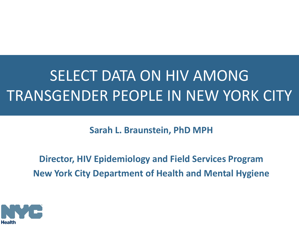# SELECT DATA ON HIV AMONG TRANSGENDER PEOPLE IN NEW YORK CITY

**Sarah L. Braunstein, PhD MPH**

**Director, HIV Epidemiology and Field Services Program New York City Department of Health and Mental Hygiene**

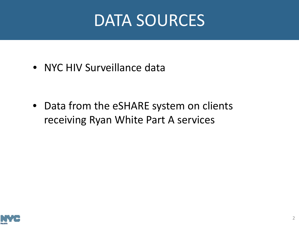# DATA SOURCES

• NYC HIV Surveillance data

• Data from the eSHARE system on clients receiving Ryan White Part A services

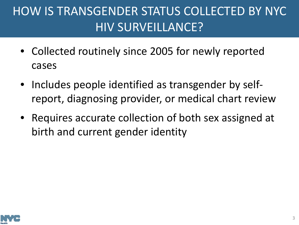# HOW IS TRANSGENDER STATUS COLLECTED BY NYC HIV SURVEILLANCE?

- Collected routinely since 2005 for newly reported cases
- Includes people identified as transgender by selfreport, diagnosing provider, or medical chart review
- Requires accurate collection of both sex assigned at birth and current gender identity

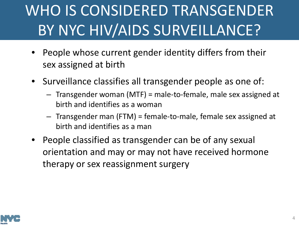# WHO IS CONSIDERED TRANSGENDER BY NYC HIV/AIDS SURVEILLANCE?

- People whose current gender identity differs from their sex assigned at birth
- Surveillance classifies all transgender people as one of:
	- Transgender woman (MTF) = male-to-female, male sex assigned at birth and identifies as a woman
	- Transgender man (FTM) = female-to-male, female sex assigned at birth and identifies as a man
- People classified as transgender can be of any sexual orientation and may or may not have received hormone therapy or sex reassignment surgery

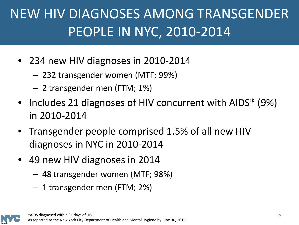# NEW HIV DIAGNOSES AMONG TRANSGENDER PEOPLE IN NYC, 2010-2014

- 234 new HIV diagnoses in 2010-2014
	- 232 transgender women (MTF; 99%)
	- 2 transgender men (FTM; 1%)
- Includes 21 diagnoses of HIV concurrent with AIDS\* (9%) in 2010-2014
- Transgender people comprised 1.5% of all new HIV diagnoses in NYC in 2010-2014
- 49 new HIV diagnoses in 2014
	- 48 transgender women (MTF; 98%)
	- 1 transgender men (FTM; 2%)

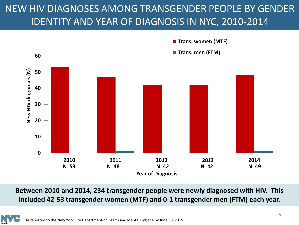#### NEW HIV DIAGNOSES AMONG TRANSGENDER PEOPLE BY GENDER IDENTITY AND YEAR OF DIAGNOSIS IN NYC, 2010-2014



**Between 2010 and 2014, 234 transgender people were newly diagnosed with HIV. This included 42-53 transgender women (MTF) and 0-1 transgender men (FTM) each year.**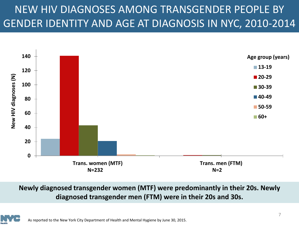### NEW HIV DIAGNOSES AMONG TRANSGENDER PEOPLE BY GENDER IDENTITY AND AGE AT DIAGNOSIS IN NYC, 2010-2014



**Newly diagnosed transgender women (MTF) were predominantly in their 20s. Newly diagnosed transgender men (FTM) were in their 20s and 30s.**

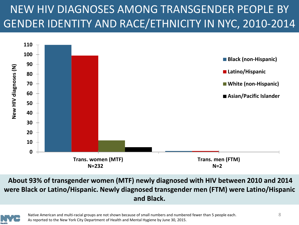## NEW HIV DIAGNOSES AMONG TRANSGENDER PEOPLE BY GENDER IDENTITY AND RACE/ETHNICITY IN NYC, 2010-2014



#### **About 93% of transgender women (MTF) newly diagnosed with HIV between 2010 and 2014 were Black or Latino/Hispanic. Newly diagnosed transgender men (FTM) were Latino/Hispanic and Black.**



Native American and multi-racial groups are not shown because of small numbers and numbered fewer than 5 people each. As reported to the New York City Department of Health and Mental Hygiene by June 30, 2015.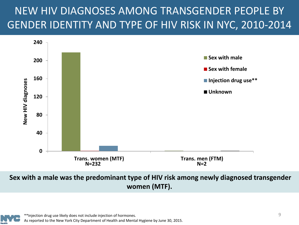### NEW HIV DIAGNOSES AMONG TRANSGENDER PEOPLE BY GENDER IDENTITY AND TYPE OF HIV RISK IN NYC, 2010-2014



#### **Sex with a male was the predominant type of HIV risk among newly diagnosed transgender women (MTF).**

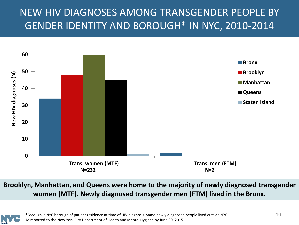#### NEW HIV DIAGNOSES AMONG TRANSGENDER PEOPLE BY GENDER IDENTITY AND BOROUGH\* IN NYC, 2010-2014



**Brooklyn, Manhattan, and Queens were home to the majority of newly diagnosed transgender women (MTF). Newly diagnosed transgender men (FTM) lived in the Bronx.**

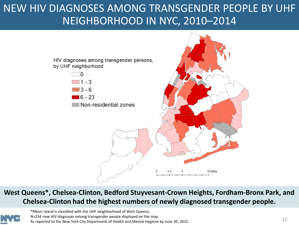#### NEW HIV DIAGNOSES AMONG TRANSGENDER PEOPLE BY UHF NEIGHBORHOOD IN NYC, 2010–2014



#### **West Queens\*, Chelsea-Clinton, Bedford Stuyvesant-Crown Heights, Fordham-Bronx Park, and Chelsea-Clinton had the highest numbers of newly diagnosed transgender people.**



\*Rikers Island is classified with the UHF neighborhood of West Queens. N=234 new HIV diagnoses among transgender people displayed on the map. As reported to the New York City Department of Health and Mental Hygiene by June 30, 2015.<br>As reported to the New York City Department of Health and Mental Hygiene by June 30, 2015.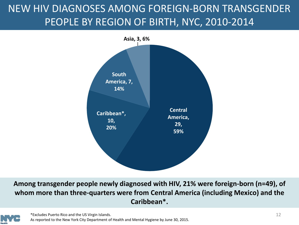### NEW HIV DIAGNOSES AMONG FOREIGN-BORN TRANSGENDER PEOPLE BY REGION OF BIRTH, NYC, 2010-2014



**Among transgender people newly diagnosed with HIV, 21% were foreign-born (n=49), of whom more than three-quarters were from Central America (including Mexico) and the Caribbean\*.**

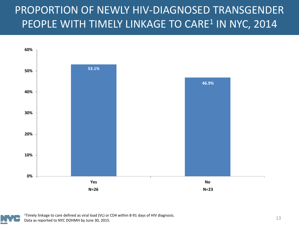#### PROPORTION OF NEWLY HIV-DIAGNOSED TRANSGENDER PEOPLE WITH TIMELY LINKAGE TO CARE<sup>1</sup> IN NYC, 2014



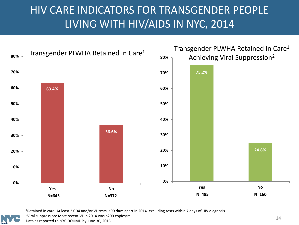#### HIV CARE INDICATORS FOR TRANSGENDER PEOPLE LIVING WITH HIV/AIDS IN NYC, 2014





1Retained in care: At least 2 CD4 and/or VL tests ≥90 days apart in 2014, excluding tests within 7 days of HIV diagnosis.

2Viral suppression: Most recent VL in 2014 was ≤200 copies/mL.

Data as reported to NYC DOHMH by June 30, 2015.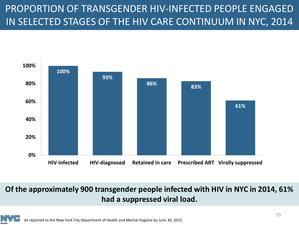#### PROPORTION OF TRANSGENDER HIV-INFECTED PEOPLE ENGAGED IN SELECTED STAGES OF THE HIV CARE CONTINUUM IN NYC, 2014



#### **Of the approximately 900 transgender people infected with HIV in NYC in 2014, 61% had a suppressed viral load.**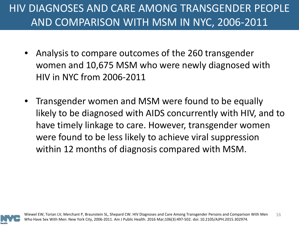### HIV DIAGNOSES AND CARE AMONG TRANSGENDER PEOPLE AND COMPARISON WITH MSM IN NYC, 2006-2011

- Analysis to compare outcomes of the 260 transgender women and 10,675 MSM who were newly diagnosed with HIV in NYC from 2006-2011
- Transgender women and MSM were found to be equally likely to be diagnosed with AIDS concurrently with HIV, and to have timely linkage to care. However, transgender women were found to be less likely to achieve viral suppression within 12 months of diagnosis compared with MSM.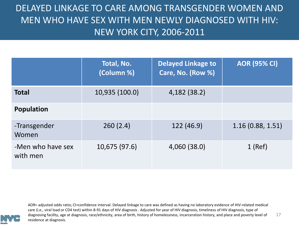#### DELAYED LINKAGE TO CARE AMONG TRANSGENDER WOMEN AND MEN WHO HAVE SEX WITH MEN NEWLY DIAGNOSED WITH HIV: NEW YORK CITY, 2006-2011

|                               | Total, No.<br>(Column %) | <b>Delayed Linkage to</b><br>Care, No. (Row %) | <b>AOR (95% CI)</b> |
|-------------------------------|--------------------------|------------------------------------------------|---------------------|
| <b>Total</b>                  | 10,935 (100.0)           | 4,182 (38.2)                                   |                     |
| <b>Population</b>             |                          |                                                |                     |
| -Transgender<br>Women         | 260(2.4)                 | 122 (46.9)                                     | 1.16(0.88, 1.51)    |
| -Men who have sex<br>with men | 10,675 (97.6)            | 4,060 (38.0)                                   | $1$ (Ref)           |



17 AOR= adjusted odds ratio; CI=confidence interval. Delayed linkage to care was defined as having no laboratory evidence of HIV-related medical care (i.e., viral load or CD4 test) within 8-91 days of HIV diagnosis . Adjusted for year of HIV diagnosis, timeliness of HIV diagnosis, type of diagnosing facility, age at diagnosis, race/ethnicity, area of birth, history of homelessness, incarceration history, and place and poverty level of residence at diagnosis.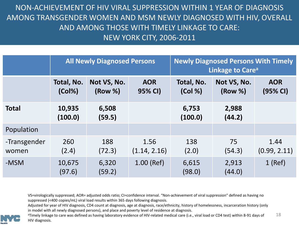NON-ACHIEVEMENT OF HIV VIRAL SUPPRESSION WITHIN 1 YEAR OF DIAGNOSIS AMONG TRANSGENDER WOMEN AND MSM NEWLY DIAGNOSED WITH HIV, OVERALL AND AMONG THOSE WITH TIMELY LINKAGE TO CARE: NEW YORK CITY, 2006-2011

|                       | <b>All Newly Diagnosed Persons</b> |                        |                       | <b>Newly Diagnosed Persons With Timely</b><br>Linkage to Care <sup>a</sup> |                        |                        |  |
|-----------------------|------------------------------------|------------------------|-----------------------|----------------------------------------------------------------------------|------------------------|------------------------|--|
|                       | Total, No.<br>$(Col\%)$            | Not VS, No.<br>(Row %) | <b>AOR</b><br>95% CI) | Total, No.<br>(Col %)                                                      | Not VS, No.<br>(Row %) | <b>AOR</b><br>(95% CI) |  |
| <b>Total</b>          | 10,935<br>(100.0)                  | 6,508<br>(59.5)        |                       | 6,753<br>(100.0)                                                           | 2,988<br>(44.2)        |                        |  |
| Population            |                                    |                        |                       |                                                                            |                        |                        |  |
| -Transgender<br>women | 260<br>(2.4)                       | 188<br>(72.3)          | 1.56<br>(1.14, 2.16)  | 138<br>(2.0)                                                               | 75<br>(54.3)           | 1.44<br>(0.99, 2.11)   |  |
| -MSM                  | 10,675<br>(97.6)                   | 6,320<br>(59.2)        | $1.00$ (Ref)          | 6,615<br>(98.0)                                                            | 2,913<br>(44.0)        | $1$ (Ref)              |  |

VS=virologically suppressed; AOR= adjusted odds ratio; CI=confidence interval. "Non-achievement of viral suppression" defined as having no suppressed (<400 copies/mL) viral load results within 365 days following diagnosis.

Adjusted for year of HIV diagnosis, CD4 count at diagnosis, age at diagnosis, race/ethnicity, history of homelessness, incarceration history (only in model with all newly diagnosed persons), and place and poverty level of residence at diagnosis.

18 aTimely linkage to care was defined as having laboratory evidence of HIV-related medical care (i.e., viral load or CD4 test) within 8-91 days of HIV diagnosis.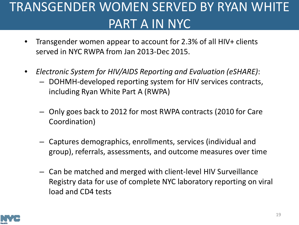# TRANSGENDER WOMEN SERVED BY RYAN WHITE PART A IN NYC

- Transgender women appear to account for 2.3% of all HIV+ clients served in NYC RWPA from Jan 2013-Dec 2015.
- *Electronic System for HIV/AIDS Reporting and Evaluation (eSHARE)*:
	- DOHMH-developed reporting system for HIV services contracts, including Ryan White Part A (RWPA)
	- Only goes back to 2012 for most RWPA contracts (2010 for Care Coordination)
	- Captures demographics, enrollments, services (individual and group), referrals, assessments, and outcome measures over time
	- Can be matched and merged with client-level HIV Surveillance Registry data for use of complete NYC laboratory reporting on viral load and CD4 tests

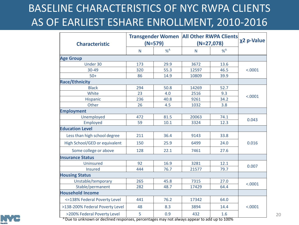### BASELINE CHARACTERISTICS OF NYC RWPA CLIENTS AS OF EARLIEST ESHARE ENROLLMENT, 2010-2016

| <b>Characteristic</b>                                                                                                                 | $(N=579)$ |      | <b>Transgender Women   All Other RWPA Clients</b><br>$(N=27,078)$ |       | χ2 p-Value |  |
|---------------------------------------------------------------------------------------------------------------------------------------|-----------|------|-------------------------------------------------------------------|-------|------------|--|
|                                                                                                                                       | N         | % A  | N                                                                 | $%^A$ |            |  |
| <b>Age Group</b>                                                                                                                      |           |      |                                                                   |       |            |  |
| Under 30                                                                                                                              | 173       | 29.9 | 3672                                                              | 13.6  | < .0001    |  |
| 30-49                                                                                                                                 | 320       | 55.3 | 12597                                                             | 46.5  |            |  |
| $50+$                                                                                                                                 | 86        | 14.9 | 10809                                                             | 39.9  |            |  |
| <b>Race/Ethnicity</b>                                                                                                                 |           |      |                                                                   |       |            |  |
| <b>Black</b>                                                                                                                          | 294       | 50.8 | 14269                                                             | 52.7  |            |  |
| White                                                                                                                                 | 23        | 4.0  | 2516                                                              | 9.3   | < .0001    |  |
| Hispanic                                                                                                                              | 236       | 40.8 | 9261                                                              | 34.2  |            |  |
| Other                                                                                                                                 | 26        | 4.5  | 1032                                                              | 3.8   |            |  |
| <b>Employment</b>                                                                                                                     |           |      |                                                                   |       |            |  |
| Unemployed                                                                                                                            | 472       | 81.5 | 20063                                                             | 74.1  | 0.043      |  |
| Employed                                                                                                                              | 59        | 10.1 | 3324                                                              | 12.3  |            |  |
| <b>Education Level</b>                                                                                                                |           |      |                                                                   |       |            |  |
| Less than high school degree                                                                                                          | 211       | 36.4 | 9143                                                              | 33.8  |            |  |
| High School/GED or equivalent                                                                                                         | 150       | 25.9 | 6499                                                              | 24.0  | 0.016      |  |
| Some college or above                                                                                                                 | 128       | 22.1 | 7461                                                              | 27.6  |            |  |
| <b>Insurance Status</b>                                                                                                               |           |      |                                                                   |       |            |  |
| Uninsured                                                                                                                             | 92        | 16.9 | 3281                                                              | 12.1  |            |  |
| <b>Insured</b>                                                                                                                        | 444       | 76.7 | 21577                                                             | 79.7  | 0.007      |  |
| <b>Housing Status</b>                                                                                                                 |           |      |                                                                   |       |            |  |
| Unstable/temporary                                                                                                                    | 265       | 45.8 | 7315                                                              | 27.0  | < .0001    |  |
| Stable/permanent                                                                                                                      | 282       | 48.7 | 17429                                                             | 64.4  |            |  |
| <b>Household Income</b>                                                                                                               |           |      |                                                                   |       |            |  |
| <= 138% Federal Poverty Level                                                                                                         | 441       | 76.2 | 17342                                                             | 64.0  | < .0001    |  |
| >138-200% Federal Poverty Level                                                                                                       | 48        | 8.3  | 3894                                                              | 14.4  |            |  |
| >200% Federal Poverty Level<br><sup>A</sup> Due to unknown or declined responses, percentages may not always appear to add up to 100% | 5         | 0.9  | 432                                                               | 1.6   |            |  |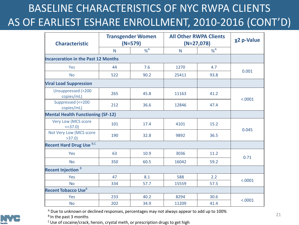## BASELINE CHARACTERISTICS OF NYC RWPA CLIENTS AS OF EARLIEST ESHARE ENROLLMENT, 2010-2016 (CONT'D)

| <b>Characteristic</b>                        | <b>Transgender Women</b><br>$(N=579)$ |        | <b>All Other RWPA Clients</b><br>$(N=27,078)$ |        | χ2 p-Value |  |
|----------------------------------------------|---------------------------------------|--------|-----------------------------------------------|--------|------------|--|
|                                              | N                                     | $\%^A$ | $\mathsf{N}$                                  | $\%^A$ |            |  |
| <b>Incarceration in the Past 12 Months</b>   |                                       |        |                                               |        |            |  |
| Yes                                          | 44                                    | 7.6    | 1270                                          | 4.7    |            |  |
| <b>No</b>                                    | 522                                   | 90.2   | 25411                                         | 93.8   | 0.001      |  |
| <b>Viral Load Suppression</b>                |                                       |        |                                               |        |            |  |
| Unsuppressed (>200<br>copies/mL)             | 265                                   | 45.8   | 11163                                         | 41.2   | < .0001    |  |
| Suppressed (<= 200<br>copies/mL)             | 212                                   | 36.6   | 12846                                         | 47.4   |            |  |
| <b>Mental Health Functioning (SF-12)</b>     |                                       |        |                                               |        |            |  |
| <b>Very Low (MCS score</b><br>$\leq$ = 37.0) | 101                                   | 17.4   | 4101                                          | 15.2   |            |  |
| Not Very Low (MCS score<br>>37.0             | 190                                   | 32.8   | 9892                                          | 36.5   | 0.045      |  |
| <b>Recent Hard Drug Use B,C</b>              |                                       |        |                                               |        |            |  |
| Yes                                          | 63                                    | 10.9   | 3036                                          | 11.2   | 0.71       |  |
| <b>No</b>                                    | 350                                   | 60.5   | 16042                                         | 59.2   |            |  |
| <b>Recent Injection B</b>                    |                                       |        |                                               |        |            |  |
| Yes                                          | 47                                    | 8.1    | 588                                           | 2.2    |            |  |
| <b>No</b>                                    | 334                                   | 57.7   | 15559                                         | 57.5   | < .0001    |  |
| <b>Recent Tobacco Use</b> <sup>B</sup>       |                                       |        |                                               |        |            |  |
| <b>Yes</b>                                   | 233                                   | 40.2   | 8294                                          | 30.6   | < .0001    |  |
| <b>No</b>                                    | 202                                   | 34.9   | 11209                                         | 41.4   |            |  |

A Due to unknown or declined responses, percentages may not always appear to add up to 100% <sup>B</sup> In the past 3 months



C Use of cocaine/crack, heroin, crystal meth, or prescription drugs to get high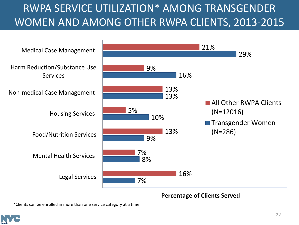### RWPA SERVICE UTILIZATION\* AMONG TRANSGENDER WOMEN AND AMONG OTHER RWPA CLIENTS, 2013-2015



#### **Percentage of Clients Served**

\*Clients can be enrolled in more than one service category at a time

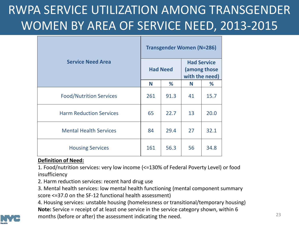# RWPA SERVICE UTILIZATION AMONG TRANSGENDER WOMEN BY AREA OF SERVICE NEED, 2013-2015

|                                | <b>Transgender Women (N=286)</b> |      |                                                      |      |  |
|--------------------------------|----------------------------------|------|------------------------------------------------------|------|--|
| <b>Service Need Area</b>       | <b>Had Need</b>                  |      | <b>Had Service</b><br>(among those<br>with the need) |      |  |
|                                | N                                | %    | N                                                    | %    |  |
| <b>Food/Nutrition Services</b> | 261                              | 91.3 | 41                                                   | 15.7 |  |
| <b>Harm Reduction Services</b> | 65                               | 22.7 | 13                                                   | 20.0 |  |
| <b>Mental Health Services</b>  | 84                               | 29.4 | 27                                                   | 32.1 |  |
| <b>Housing Services</b>        | 161                              | 56.3 | 56                                                   | 34.8 |  |

#### **Definition of Need:**

1. Food/nutrition services: very low income (<=130% of Federal Poverty Level) or food insufficiency

2. Harm reduction services: recent hard drug use

3. Mental health services: low mental health functioning (mental component summary score <=37.0 on the SF-12 functional health assessment)

4. Housing services: unstable housing (homelessness or transitional/temporary housing) **Note:** Service = receipt of at least one service in the service category shown, within 6 months (before or after) the assessment indicating the need.

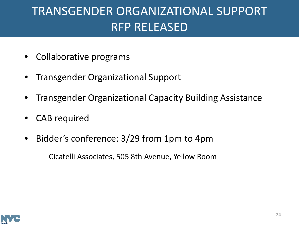# TRANSGENDER ORGANIZATIONAL SUPPORT RFP RELEASED

- Collaborative programs
- Transgender Organizational Support
- Transgender Organizational Capacity Building Assistance
- CAB required
- Bidder's conference: 3/29 from 1pm to 4pm
	- Cicatelli Associates, 505 8th Avenue, Yellow Room